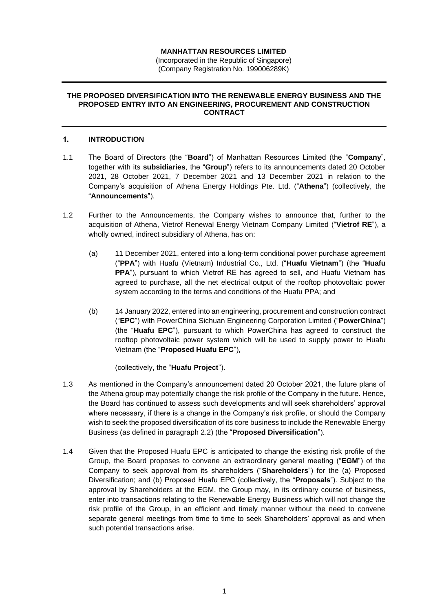## **MANHATTAN RESOURCES LIMITED**

(Incorporated in the Republic of Singapore) (Company Registration No. 199006289K)

#### **THE PROPOSED DIVERSIFICATION INTO THE RENEWABLE ENERGY BUSINESS AND THE PROPOSED ENTRY INTO AN ENGINEERING, PROCUREMENT AND CONSTRUCTION CONTRACT**

#### **1. INTRODUCTION**

- 1.1 The Board of Directors (the "**Board**") of Manhattan Resources Limited (the "**Company**", together with its **subsidiaries**, the "**Group**") refers to its announcements dated 20 October 2021, 28 October 2021, 7 December 2021 and 13 December 2021 in relation to the Company's acquisition of Athena Energy Holdings Pte. Ltd. ("**Athena**") (collectively, the "**Announcements**").
- 1.2 Further to the Announcements, the Company wishes to announce that, further to the acquisition of Athena, Vietrof Renewal Energy Vietnam Company Limited ("**Vietrof RE**"), a wholly owned, indirect subsidiary of Athena, has on:
	- (a) 11 December 2021, entered into a long-term conditional power purchase agreement ("**PPA**") with Huafu (Vietnam) Industrial Co., Ltd. ("**Huafu Vietnam**") (the "**Huafu PPA**"), pursuant to which Vietrof RE has agreed to sell, and Huafu Vietnam has agreed to purchase, all the net electrical output of the rooftop photovoltaic power system according to the terms and conditions of the Huafu PPA; and
	- (b) 14 January 2022, entered into an engineering, procurement and construction contract ("**EPC**") with PowerChina Sichuan Engineering Corporation Limited ("**PowerChina**") (the "**Huafu EPC**"), pursuant to which PowerChina has agreed to construct the rooftop photovoltaic power system which will be used to supply power to Huafu Vietnam (the "**Proposed Huafu EPC**"),

(collectively, the "**Huafu Project**").

- 1.3 As mentioned in the Company's announcement dated 20 October 2021, the future plans of the Athena group may potentially change the risk profile of the Company in the future. Hence, the Board has continued to assess such developments and will seek shareholders' approval where necessary, if there is a change in the Company's risk profile, or should the Company wish to seek the proposed diversification of its core business to include the Renewable Energy Business (as defined in paragraph [2.2\)](#page-1-0) (the "**Proposed Diversification**").
- 1.4 Given that the Proposed Huafu EPC is anticipated to change the existing risk profile of the Group, the Board proposes to convene an extraordinary general meeting ("**EGM**") of the Company to seek approval from its shareholders ("**Shareholders**") for the (a) Proposed Diversification; and (b) Proposed Huafu EPC (collectively, the "**Proposals**"). Subject to the approval by Shareholders at the EGM, the Group may, in its ordinary course of business, enter into transactions relating to the Renewable Energy Business which will not change the risk profile of the Group, in an efficient and timely manner without the need to convene separate general meetings from time to time to seek Shareholders' approval as and when such potential transactions arise.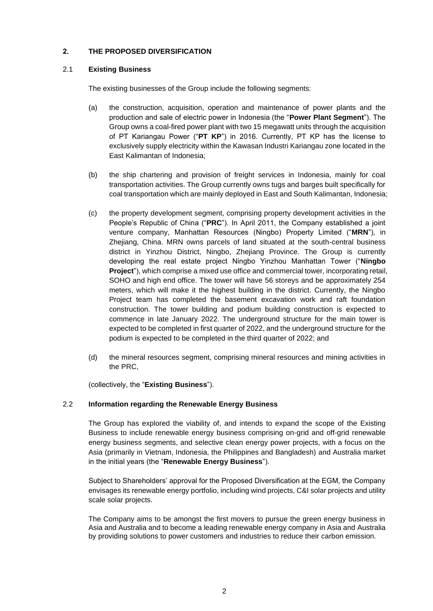# **2. THE PROPOSED DIVERSIFICATION**

## 2.1 **Existing Business**

The existing businesses of the Group include the following segments:

- (a) the construction, acquisition, operation and maintenance of power plants and the production and sale of electric power in Indonesia (the "**Power Plant Segment**"). The Group owns a coal-fired power plant with two 15 megawatt units through the acquisition of PT Kariangau Power ("**PT KP**") in 2016. Currently, PT KP has the license to exclusively supply electricity within the Kawasan Industri Kariangau zone located in the East Kalimantan of Indonesia;
- (b) the ship chartering and provision of freight services in Indonesia, mainly for coal transportation activities. The Group currently owns tugs and barges built specifically for coal transportation which are mainly deployed in East and South Kalimantan, Indonesia;
- (c) the property development segment, comprising property development activities in the People's Republic of China ("**PRC**"). In April 2011, the Company established a joint venture company, Manhattan Resources (Ningbo) Property Limited ("**MRN**"), in Zhejiang, China. MRN owns parcels of land situated at the south-central business district in Yinzhou District, Ningbo, Zhejiang Province. The Group is currently developing the real estate project Ningbo Yinzhou Manhattan Tower ("**Ningbo Project**"), which comprise a mixed use office and commercial tower, incorporating retail, SOHO and high end office. The tower will have 56 storeys and be approximately 254 meters, which will make it the highest building in the district. Currently, the Ningbo Project team has completed the basement excavation work and raft foundation construction. The tower building and podium building construction is expected to commence in late January 2022. The underground structure for the main tower is expected to be completed in first quarter of 2022, and the underground structure for the podium is expected to be completed in the third quarter of 2022; and
- (d) the mineral resources segment, comprising mineral resources and mining activities in the PRC,

(collectively, the "**Existing Business**").

# <span id="page-1-0"></span>2.2 **Information regarding the Renewable Energy Business**

The Group has explored the viability of, and intends to expand the scope of the Existing Business to include renewable energy business comprising on-grid and off-grid renewable energy business segments, and selective clean energy power projects, with a focus on the Asia (primarily in Vietnam, Indonesia, the Philippines and Bangladesh) and Australia market in the initial years (the "**Renewable Energy Business**").

Subject to Shareholders' approval for the Proposed Diversification at the EGM, the Company envisages its renewable energy portfolio, including wind projects, C&I solar projects and utility scale solar projects.

The Company aims to be amongst the first movers to pursue the green energy business in Asia and Australia and to become a leading renewable energy company in Asia and Australia by providing solutions to power customers and industries to reduce their carbon emission.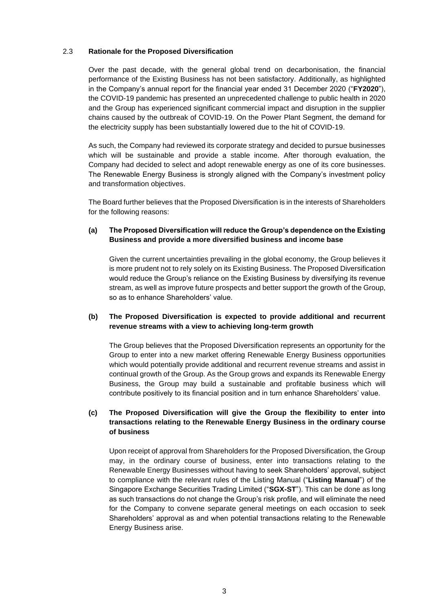## 2.3 **Rationale for the Proposed Diversification**

Over the past decade, with the general global trend on decarbonisation, the financial performance of the Existing Business has not been satisfactory. Additionally, as highlighted in the Company's annual report for the financial year ended 31 December 2020 ("**FY2020**"), the COVID-19 pandemic has presented an unprecedented challenge to public health in 2020 and the Group has experienced significant commercial impact and disruption in the supplier chains caused by the outbreak of COVID-19. On the Power Plant Segment, the demand for the electricity supply has been substantially lowered due to the hit of COVID-19.

As such, the Company had reviewed its corporate strategy and decided to pursue businesses which will be sustainable and provide a stable income. After thorough evaluation, the Company had decided to select and adopt renewable energy as one of its core businesses. The Renewable Energy Business is strongly aligned with the Company's investment policy and transformation objectives.

The Board further believes that the Proposed Diversification is in the interests of Shareholders for the following reasons:

# **(a) The Proposed Diversification will reduce the Group's dependence on the Existing Business and provide a more diversified business and income base**

Given the current uncertainties prevailing in the global economy, the Group believes it is more prudent not to rely solely on its Existing Business. The Proposed Diversification would reduce the Group's reliance on the Existing Business by diversifying its revenue stream, as well as improve future prospects and better support the growth of the Group, so as to enhance Shareholders' value.

## **(b) The Proposed Diversification is expected to provide additional and recurrent revenue streams with a view to achieving long-term growth**

The Group believes that the Proposed Diversification represents an opportunity for the Group to enter into a new market offering Renewable Energy Business opportunities which would potentially provide additional and recurrent revenue streams and assist in continual growth of the Group. As the Group grows and expands its Renewable Energy Business, the Group may build a sustainable and profitable business which will contribute positively to its financial position and in turn enhance Shareholders' value.

# **(c) The Proposed Diversification will give the Group the flexibility to enter into transactions relating to the Renewable Energy Business in the ordinary course of business**

Upon receipt of approval from Shareholders for the Proposed Diversification, the Group may, in the ordinary course of business, enter into transactions relating to the Renewable Energy Businesses without having to seek Shareholders' approval, subject to compliance with the relevant rules of the Listing Manual ("**Listing Manual**") of the Singapore Exchange Securities Trading Limited ("**SGX-ST**"). This can be done as long as such transactions do not change the Group's risk profile, and will eliminate the need for the Company to convene separate general meetings on each occasion to seek Shareholders' approval as and when potential transactions relating to the Renewable Energy Business arise.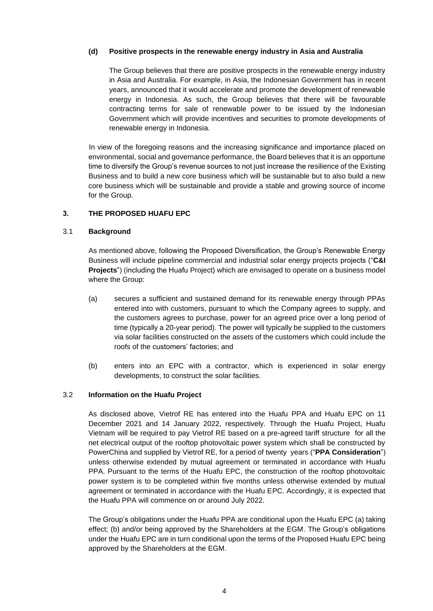## **(d) Positive prospects in the renewable energy industry in Asia and Australia**

The Group believes that there are positive prospects in the renewable energy industry in Asia and Australia. For example, in Asia, the Indonesian Government has in recent years, announced that it would accelerate and promote the development of renewable energy in Indonesia. As such, the Group believes that there will be favourable contracting terms for sale of renewable power to be issued by the Indonesian Government which will provide incentives and securities to promote developments of renewable energy in Indonesia.

In view of the foregoing reasons and the increasing significance and importance placed on environmental, social and governance performance, the Board believes that it is an opportune time to diversify the Group's revenue sources to not just increase the resilience of the Existing Business and to build a new core business which will be sustainable but to also build a new core business which will be sustainable and provide a stable and growing source of income for the Group.

## **3. THE PROPOSED HUAFU EPC**

#### 3.1 **Background**

As mentioned above, following the Proposed Diversification, the Group's Renewable Energy Business will include pipeline commercial and industrial solar energy projects projects ("**C&I Projects**") (including the Huafu Project) which are envisaged to operate on a business model where the Group:

- (a) secures a sufficient and sustained demand for its renewable energy through PPAs entered into with customers, pursuant to which the Company agrees to supply, and the customers agrees to purchase, power for an agreed price over a long period of time (typically a 20-year period). The power will typically be supplied to the customers via solar facilities constructed on the assets of the customers which could include the roofs of the customers' factories; and
- (b) enters into an EPC with a contractor, which is experienced in solar energy developments, to construct the solar facilities.

#### 3.2 **Information on the Huafu Project**

As disclosed above, Vietrof RE has entered into the Huafu PPA and Huafu EPC on 11 December 2021 and 14 January 2022, respectively. Through the Huafu Project, Huafu Vietnam will be required to pay Vietrof RE based on a pre-agreed tariff structure for all the net electrical output of the rooftop photovoltaic power system which shall be constructed by PowerChina and supplied by Vietrof RE, for a period of twenty years ("**PPA Consideration**") unless otherwise extended by mutual agreement or terminated in accordance with Huafu PPA. Pursuant to the terms of the Huafu EPC, the construction of the rooftop photovoltaic power system is to be completed within five months unless otherwise extended by mutual agreement or terminated in accordance with the Huafu EPC. Accordingly, it is expected that the Huafu PPA will commence on or around July 2022.

The Group's obligations under the Huafu PPA are conditional upon the Huafu EPC (a) taking effect; (b) and/or being approved by the Shareholders at the EGM. The Group's obligations under the Huafu EPC are in turn conditional upon the terms of the Proposed Huafu EPC being approved by the Shareholders at the EGM.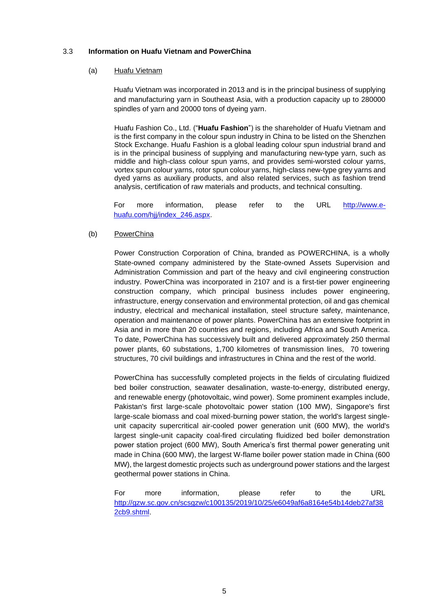## 3.3 **Information on Huafu Vietnam and PowerChina**

#### (a) Huafu Vietnam

Huafu Vietnam was incorporated in 2013 and is in the principal business of supplying and manufacturing yarn in Southeast Asia, with a production capacity up to 280000 spindles of yarn and 20000 tons of dyeing yarn.

Huafu Fashion Co., Ltd. ("**Huafu Fashion**") is the shareholder of Huafu Vietnam and is the first company in the colour spun industry in China to be listed on the Shenzhen Stock Exchange. Huafu Fashion is a global leading colour spun industrial brand and is in the principal business of supplying and manufacturing new-type yarn, such as middle and high-class colour spun yarns, and provides semi-worsted colour yarns, vortex spun colour yarns, rotor spun colour yarns, high-class new-type grey yarns and dyed yarns as auxiliary products, and also related services, such as fashion trend analysis, certification of raw materials and products, and technical consulting.

For more information, please refer to the URL [http://www.e](http://www.e-huafu.com/hjj/index_246.aspx)[huafu.com/hjj/index\\_246.aspx.](http://www.e-huafu.com/hjj/index_246.aspx)

## (b) PowerChina

Power Construction Corporation of China, branded as POWERCHINA, is a wholly State-owned company administered by the State-owned Assets Supervision and Administration Commission and part of the heavy and civil engineering construction industry. PowerChina was incorporated in 2107 and is a first-tier power engineering construction company, which principal business includes power engineering, infrastructure, energy conservation and environmental protection, oil and gas chemical industry, electrical and mechanical installation, steel structure safety, maintenance, operation and maintenance of power plants. PowerChina has an extensive footprint in Asia and in more than 20 countries and regions, including Africa and South America. To date, PowerChina has successively built and delivered approximately 250 thermal power plants, 60 substations, 1,700 kilometres of transmission lines, 70 towering structures, 70 civil buildings and infrastructures in China and the rest of the world.

PowerChina has successfully completed projects in the fields of circulating fluidized bed boiler construction, seawater desalination, waste-to-energy, distributed energy, and renewable energy (photovoltaic, wind power). Some prominent examples include, Pakistan's first large-scale photovoltaic power station (100 MW), Singapore's first large-scale biomass and coal mixed-burning power station, the world's largest singleunit capacity supercritical air-cooled power generation unit (600 MW), the world's largest single-unit capacity coal-fired circulating fluidized bed boiler demonstration power station project (600 MW), South America's first thermal power generating unit made in China (600 MW), the largest W-flame boiler power station made in China (600 MW), the largest domestic projects such as underground power stations and the largest geothermal power stations in China.

For more information, please refer to the URL [http://gzw.sc.gov.cn/scsgzw/c100135/2019/10/25/e6049af6a8164e54b14deb27af38](http://gzw.sc.gov.cn/scsgzw/c100135/2019/10/25/e6049af6a8164e54b14deb27af382cb9.shtml) [2cb9.shtml.](http://gzw.sc.gov.cn/scsgzw/c100135/2019/10/25/e6049af6a8164e54b14deb27af382cb9.shtml)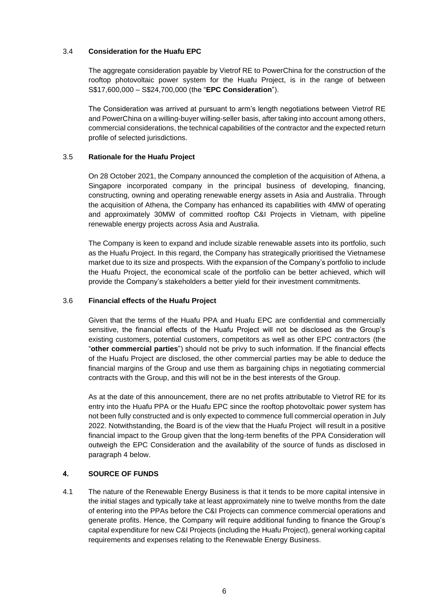## 3.4 **Consideration for the Huafu EPC**

The aggregate consideration payable by Vietrof RE to PowerChina for the construction of the rooftop photovoltaic power system for the Huafu Project, is in the range of between S\$17,600,000 – S\$24,700,000 (the "**EPC Consideration**").

The Consideration was arrived at pursuant to arm's length negotiations between Vietrof RE and PowerChina on a willing-buyer willing-seller basis, after taking into account among others, commercial considerations, the technical capabilities of the contractor and the expected return profile of selected jurisdictions.

# 3.5 **Rationale for the Huafu Project**

On 28 October 2021, the Company announced the completion of the acquisition of Athena, a Singapore incorporated company in the principal business of developing, financing, constructing, owning and operating renewable energy assets in Asia and Australia. Through the acquisition of Athena, the Company has enhanced its capabilities with 4MW of operating and approximately 30MW of committed rooftop C&I Projects in Vietnam, with pipeline renewable energy projects across Asia and Australia.

The Company is keen to expand and include sizable renewable assets into its portfolio, such as the Huafu Project. In this regard, the Company has strategically prioritised the Vietnamese market due to its size and prospects. With the expansion of the Company's portfolio to include the Huafu Project, the economical scale of the portfolio can be better achieved, which will provide the Company's stakeholders a better yield for their investment commitments.

# 3.6 **Financial effects of the Huafu Project**

Given that the terms of the Huafu PPA and Huafu EPC are confidential and commercially sensitive, the financial effects of the Huafu Project will not be disclosed as the Group's existing customers, potential customers, competitors as well as other EPC contractors (the "**other commercial parties**") should not be privy to such information. If the financial effects of the Huafu Project are disclosed, the other commercial parties may be able to deduce the financial margins of the Group and use them as bargaining chips in negotiating commercial contracts with the Group, and this will not be in the best interests of the Group.

As at the date of this announcement, there are no net profits attributable to Vietrof RE for its entry into the Huafu PPA or the Huafu EPC since the rooftop photovoltaic power system has not been fully constructed and is only expected to commence full commercial operation in July 2022. Notwithstanding, the Board is of the view that the Huafu Project will result in a positive financial impact to the Group given that the long-term benefits of the PPA Consideration will outweigh the EPC Consideration and the availability of the source of funds as disclosed in paragraph [4](#page-5-0) below.

# <span id="page-5-0"></span>**4. SOURCE OF FUNDS**

4.1 The nature of the Renewable Energy Business is that it tends to be more capital intensive in the initial stages and typically take at least approximately nine to twelve months from the date of entering into the PPAs before the C&I Projects can commence commercial operations and generate profits. Hence, the Company will require additional funding to finance the Group's capital expenditure for new C&I Projects (including the Huafu Project), general working capital requirements and expenses relating to the Renewable Energy Business.